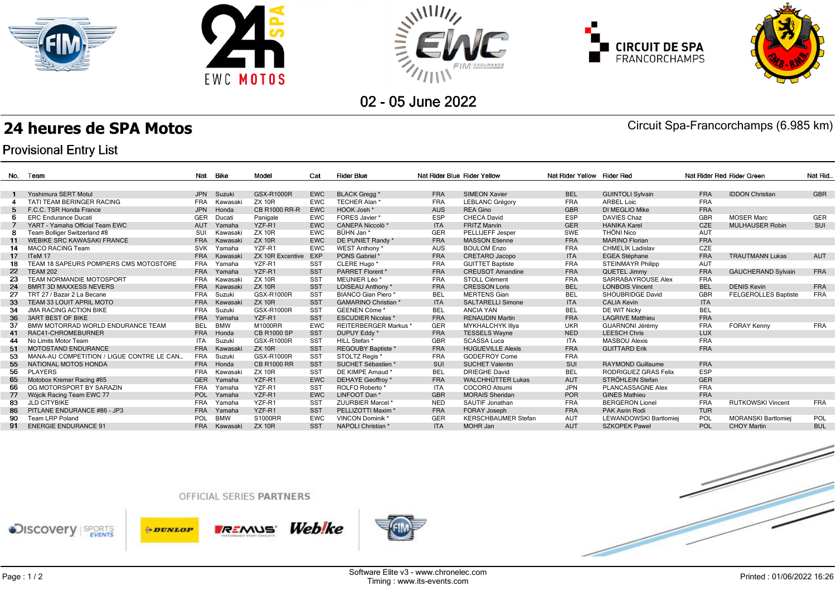









02 - 05 June 2022

## **24 heures de SPA Motos** Circuit Spa-Francorchamps (6.985 km)

## **Provisional Entry List**

| No. | Team                                      | Nat        | Bike       | Model                   | Cat        | <b>Rider Blue</b>             | Nat Rider Blue Rider Yellow |                            | Nat Rider Yellow Rider Red |                          |            | Nat Rider Red Rider Green   | Nat Rid.   |
|-----|-------------------------------------------|------------|------------|-------------------------|------------|-------------------------------|-----------------------------|----------------------------|----------------------------|--------------------------|------------|-----------------------------|------------|
|     |                                           |            |            |                         |            |                               |                             |                            |                            |                          |            |                             |            |
|     | Yoshimura SERT Motul                      | <b>JPN</b> | Suzuki     | <b>GSX-R1000R</b>       | <b>EWC</b> | <b>BLACK Grega*</b>           | <b>FRA</b>                  | <b>SIMEON Xavier</b>       | <b>BEL</b>                 | <b>GUINTOLI Sylvain</b>  | <b>FRA</b> | <b>IDDON Christian</b>      | <b>GBR</b> |
|     | TATI TEAM BERINGER RACING                 | <b>FRA</b> | Kawasak    | <b>ZX 10R</b>           | <b>EWC</b> | TECHER Alan *                 | FRA                         | <b>LEBLANC Grégory</b>     | <b>FRA</b>                 | <b>ARBEL Loic</b>        | <b>FRA</b> |                             |            |
| -5  | F.C.C. TSR Honda France                   | <b>JPN</b> | Honda      | CB R1000 RR-R           | <b>EWC</b> | HOOK Josh *                   | <b>AUS</b>                  | <b>REA Gino</b>            | GBR                        | DI MEGLIO Mike           | <b>FRA</b> |                             |            |
|     | <b>ERC Endurance Ducati</b>               | <b>GER</b> | Ducati     | Panigale                | <b>EWC</b> | FORES Javier*                 | ESP                         | CHECA David                | <b>ESP</b>                 | <b>DAVIES Chaz</b>       | <b>GBR</b> | <b>MOSER Marc</b>           | GER        |
|     | YART - Yamaha Official Team EWC           | <b>AUT</b> | Yamaha     | YZF-R1                  | <b>EWC</b> | <b>CANEPA Niccolò *</b>       | <b>ITA</b>                  | <b>FRITZ Marvin</b>        | <b>GER</b>                 | <b>HANIKA Karel</b>      | <b>CZE</b> | <b>MULHAUSER Robin</b>      | SUI        |
| -8  | Team Bolliger Switzerland #8              | SUI        | Kawasak    | <b>ZX 10R</b>           | <b>EWC</b> | BÜHN Jan*                     | <b>GER</b>                  | PELLIJEFF Jesper           | SWE                        | THÖNI Nico               | <b>AUT</b> |                             |            |
| 11  | <b>WEBIKE SRC KAWASAKI FRANCE</b>         | <b>FRA</b> | Kawasaki   | <b>ZX 10R</b>           | <b>EWC</b> | DE PUNIET Randy *             | <b>FRA</b>                  | <b>MASSON Etienne</b>      | <b>FRA</b>                 | <b>MARINO Florian</b>    | <b>FRA</b> |                             |            |
| 14  | <b>MACO RACING Team</b>                   | <b>SVK</b> | Yamaha     | YZF-R1                  | <b>EWC</b> | WEST Anthony *                | AUS                         | <b>BOULOM Enzo</b>         | <b>FRA</b>                 | CHMELÍK Ladislav         | CZE        |                             |            |
| 17  | ITeM 17                                   | <b>FRA</b> | Kawasaki   | <b>ZX 10R Excentive</b> | EXP        | PONS Gabriel *                | <b>FRA</b>                  | <b>CRETARO Jacopo</b>      | <b>ITA</b>                 | <b>EGEA Stéphane</b>     | <b>FRA</b> | <b>TRAUTMANN Lukas</b>      | AUT        |
|     | TEAM 18 SAPEURS POMPIERS CMS MOTOSTORE    | <b>FRA</b> | Yamaha     | YZF-R1                  | <b>SST</b> | CLERE Hugo*                   | <b>FRA</b>                  | <b>GUITTET Baptiste</b>    | <b>FRA</b>                 | <b>STEINMAYR Philipp</b> | <b>AUT</b> |                             |            |
| 22  | <b>TEAM 202</b>                           | <b>FRA</b> | Yamaha     | YZF-R1                  | <b>SST</b> | PARRET Florent *              | <b>FRA</b>                  | <b>CREUSOT Amandine</b>    | <b>FRA</b>                 | <b>QUETEL Jimmy</b>      | <b>FRA</b> | <b>GAUCHERAND Sylvain</b>   | <b>FRA</b> |
| 23  | <b>TEAM NORMANDIE MOTOSPORT</b>           | <b>FRA</b> | Kawasak    | <b>ZX 10R</b>           | <b>SST</b> | MEUNIER Léo <sup>*</sup>      | <b>FRA</b>                  | STOLL Clément              | <b>FRA</b>                 | SARRABAYROUSE Alex       | <b>FRA</b> |                             |            |
| 24  | <b>BMRT 3D MAXXESS NEVERS</b>             | <b>FRA</b> | Kawasaki   | <b>ZX 10R</b>           | <b>SST</b> | LOISEAU Anthony *             | <b>FRA</b>                  | <b>CRESSON Loris</b>       | <b>BEL</b>                 | <b>LONBOIS Vincent</b>   | <b>BEL</b> | <b>DENIS Kevin</b>          | <b>FRA</b> |
| 27  | TRT 27 / Bazar 2 La Becane                | <b>FRA</b> | Suzuki     | GSX-R1000R              | <b>SST</b> | <b>BIANCO Gian Piero*</b>     | <b>BEL</b>                  | <b>MERTENS Gian</b>        | BEL                        | SHOUBRIDGE David         | <b>GBR</b> | <b>FELGEROLLES Baptiste</b> | <b>FRA</b> |
| 33  | <b>TEAM 33 LOUIT APRIL MOTO</b>           | <b>FRA</b> | Kawasaki   | <b>ZX 10R</b>           | <b>SST</b> | <b>GAMARINO Christian *</b>   | <b>ITA</b>                  | <b>SALTARELLI Simone</b>   | <b>ITA</b>                 | <b>CALIA Kevin</b>       | <b>ITA</b> |                             |            |
|     | <b>JMA RACING ACTION BIKE</b>             | <b>FRA</b> | Suzuki     | GSX-R1000R              | <b>SST</b> | GEENEN Cöme *                 | <b>BEL</b>                  | <b>ANCIA YAN</b>           | BEL                        | DE WIT Nicky             | <b>BEL</b> |                             |            |
| 36  | <b>3ART BEST OF BIKE</b>                  | <b>FRA</b> | Yamaha     | YZF-R1                  | <b>SST</b> | <b>ESCUDIER Nicolas *</b>     | <b>FRA</b>                  | <b>RENAUDIN Martin</b>     | <b>FRA</b>                 | <b>LAGRIVE Matthieu</b>  | <b>FRA</b> |                             |            |
| 37  | BMW MOTORRAD WORLD ENDURANCE TEAM         | <b>BEL</b> | <b>BMW</b> | M1000RR                 | <b>EWC</b> | <b>REITERBERGER Markus*</b>   | GER                         | <b>MYKHALCHYK Illva</b>    | <b>UKR</b>                 | <b>GUARNONI Jérémy</b>   | <b>FRA</b> | <b>FORAY Kenny</b>          | <b>FRA</b> |
| 41  | RAC41-CHROMEBURNER                        | <b>FRA</b> | Honda      | <b>CB R1000 SP</b>      | <b>SST</b> | DUPUY Eddy *                  | <b>FRA</b>                  | <b>TESSELS Wayne</b>       | <b>NED</b>                 | <b>LEESCH Chris</b>      | <b>LUX</b> |                             |            |
| 44  | No Limits Motor Team                      | <b>ITA</b> | Suzuki     | GSX-R1000R              | <b>SST</b> | <b>HILL Stefan</b>            | <b>GBR</b>                  | <b>SCASSA Luca</b>         | <b>ITA</b>                 | <b>MASBOU Alexis</b>     | <b>FRA</b> |                             |            |
| 51  | <b>MOTOSTAND ENDURANCE</b>                | <b>FRA</b> | Kawasak    | <b>ZX 10R</b>           | SST        | REGOUBY Baptiste *            | <b>FRA</b>                  | <b>HUGUEVILLE Alexis</b>   | <b>FRA</b>                 | <b>GUITTARD Erik</b>     | <b>FRA</b> |                             |            |
| 53  | MANA-AU COMPETITION / LIGUE CONTRE LE CAN | <b>FRA</b> | Suzuki     | GSX-R1000R              | <b>SST</b> | STOLTZ Regis *                | <b>FRA</b>                  | <b>GODEFROY Come</b>       | <b>FRA</b>                 |                          |            |                             |            |
| 55  | NATIONAL MOTOS HONDA                      | <b>FRA</b> | Honda      | <b>CB R1000 RR</b>      | SST        | SUCHET Sébastien *            | SUI                         | <b>SUCHET Valentin</b>     | SUI                        | <b>RAYMOND Guillaume</b> | <b>FRA</b> |                             |            |
| 56  | <b>PLAYERS</b>                            | <b>FRA</b> | Kawasak    | <b>ZX 10R</b>           | <b>SST</b> | DE KIMPE Arnaud *             | <b>BEL</b>                  | <b>DRIEGHE David</b>       | <b>BEL</b>                 | RODRIGUEZ GRAS Felix     | <b>ESP</b> |                             |            |
| 65  | Motobox Kremer Racing #65                 | <b>GER</b> | Yamaha     | YZF-R1                  | <b>EWC</b> | <b>DEHAYE Geoffroy</b> *      | <b>FRA</b>                  | <b>WALCHHÜTTER Lukas</b>   | <b>AUT</b>                 | STRÖHLEIN Stefan         | <b>GER</b> |                             |            |
| 66  | OG MOTORSPORT BY SARAZIN                  | <b>FRA</b> | Yamaha     | YZF-R1                  | <b>SST</b> | ROLFO Roberto <sup>*</sup>    | <b>ITA</b>                  | COCORO Atsumi              | <b>JPN</b>                 | PLANCASSAGNE Alex        | <b>FRA</b> |                             |            |
| 77  | Wójcik Racing Team EWC 77                 | POL        | Yamaha     | YZF-R1                  | <b>EWC</b> | LINFOOT Dan*                  | GBR                         | <b>MORAIS Sheridan</b>     | <b>POR</b>                 | <b>GINES Mathieu</b>     | <b>FRA</b> |                             |            |
| 83  | <b>JLD CITYBIKE</b>                       | <b>FRA</b> | Yamaha     | YZF-R1                  | <b>SST</b> | ZUURBIER Marcel *             | <b>NED</b>                  | SAUTIF Jonathan            | <b>FRA</b>                 | <b>BERGERON Lionel</b>   | <b>FRA</b> | <b>RUTKOWSKI Vincent</b>    | <b>FRA</b> |
| 86  | PITLANE ENDURANCE #86 - JP3               | <b>FRA</b> | Yamaha     | YZF-R1                  | <b>SST</b> | PELLIZOTTI Maxim <sup>*</sup> | <b>FRA</b>                  | FORAY Joseph               | <b>FRA</b>                 | PAK Asrin Rodi           | <b>TUR</b> |                             |            |
| 90  | Team LRP Poland                           | POL        | <b>BMW</b> | S1000RR                 | <b>EWC</b> | <b>VINCON Dominik *</b>       | GER                         | <b>KERSCHBAUMER Stefan</b> | <b>AUT</b>                 | LEWANDOWSKI Bartlomiej   | POL        | <b>MORANSKI Bartlomiei</b>  | POL        |
| 91. | <b>ENERGIE ENDURANCE 91</b>               | <b>FRA</b> | Kawasaki   | <b>ZX 10R</b>           | <b>SST</b> | NAPOLI Christian *            | <b>ITA</b>                  | <b>MOHR Jan</b>            | <b>AUT</b>                 | <b>SZKOPEK Pawel</b>     | POL        | <b>CHOY Martin</b>          | <b>BUL</b> |
|     |                                           |            |            |                         |            |                               |                             |                            |                            |                          |            |                             |            |